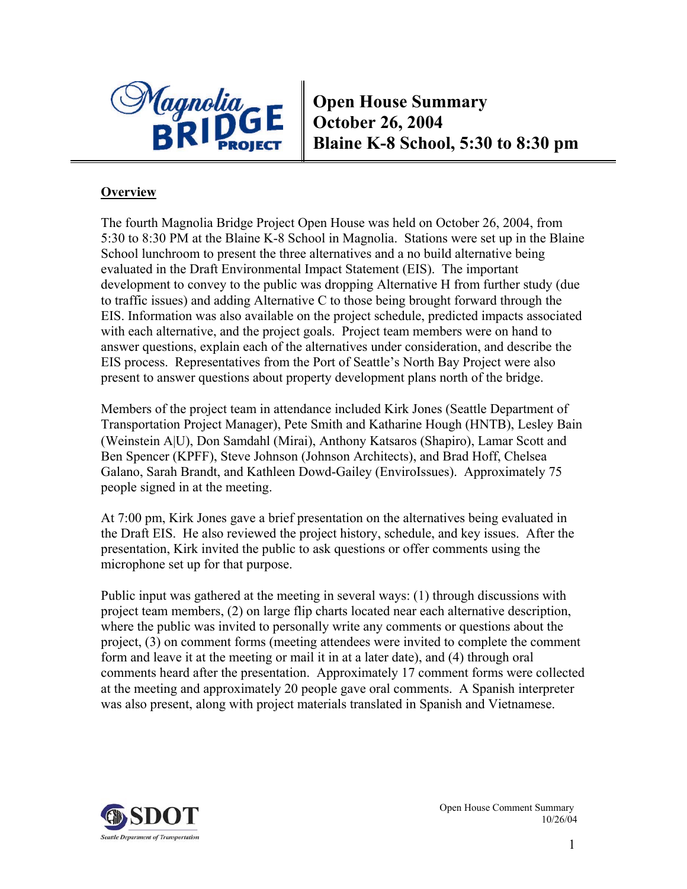

**Open House Summary October 26, 2004 Blaine K-8 School, 5:30 to 8:30 pm** 

## **Overview**

The fourth Magnolia Bridge Project Open House was held on October 26, 2004, from 5:30 to 8:30 PM at the Blaine K-8 School in Magnolia. Stations were set up in the Blaine School lunchroom to present the three alternatives and a no build alternative being evaluated in the Draft Environmental Impact Statement (EIS). The important development to convey to the public was dropping Alternative H from further study (due to traffic issues) and adding Alternative C to those being brought forward through the EIS. Information was also available on the project schedule, predicted impacts associated with each alternative, and the project goals. Project team members were on hand to answer questions, explain each of the alternatives under consideration, and describe the EIS process. Representatives from the Port of Seattle's North Bay Project were also present to answer questions about property development plans north of the bridge.

Members of the project team in attendance included Kirk Jones (Seattle Department of Transportation Project Manager), Pete Smith and Katharine Hough (HNTB), Lesley Bain (Weinstein A|U), Don Samdahl (Mirai), Anthony Katsaros (Shapiro), Lamar Scott and Ben Spencer (KPFF), Steve Johnson (Johnson Architects), and Brad Hoff, Chelsea Galano, Sarah Brandt, and Kathleen Dowd-Gailey (EnviroIssues). Approximately 75 people signed in at the meeting.

At 7:00 pm, Kirk Jones gave a brief presentation on the alternatives being evaluated in the Draft EIS. He also reviewed the project history, schedule, and key issues. After the presentation, Kirk invited the public to ask questions or offer comments using the microphone set up for that purpose.

Public input was gathered at the meeting in several ways: (1) through discussions with project team members, (2) on large flip charts located near each alternative description, where the public was invited to personally write any comments or questions about the project, (3) on comment forms (meeting attendees were invited to complete the comment form and leave it at the meeting or mail it in at a later date), and (4) through oral comments heard after the presentation. Approximately 17 comment forms were collected at the meeting and approximately 20 people gave oral comments. A Spanish interpreter was also present, along with project materials translated in Spanish and Vietnamese.

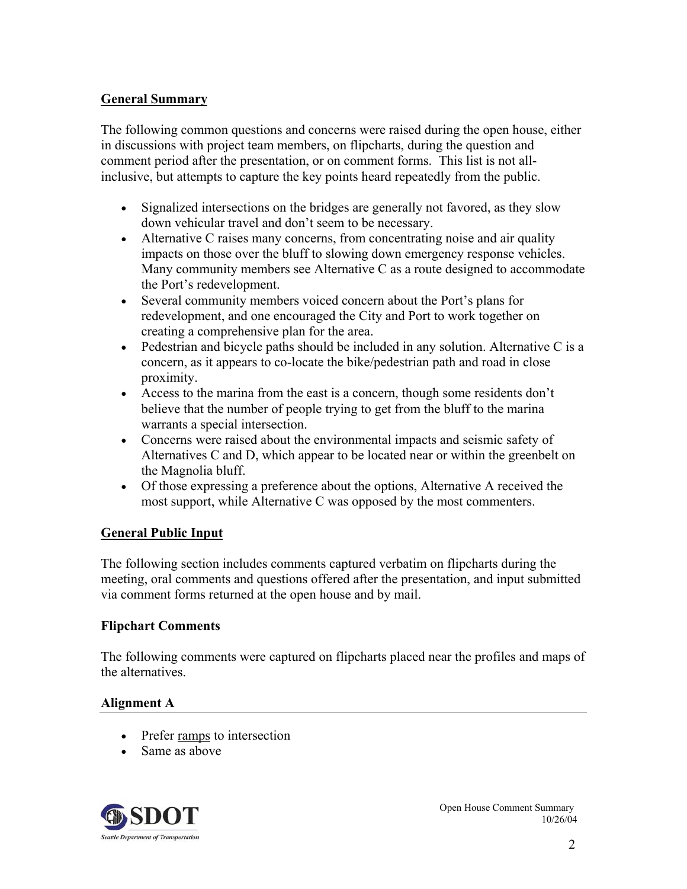## **General Summary**

The following common questions and concerns were raised during the open house, either in discussions with project team members, on flipcharts, during the question and comment period after the presentation, or on comment forms. This list is not allinclusive, but attempts to capture the key points heard repeatedly from the public.

- Signalized intersections on the bridges are generally not favored, as they slow down vehicular travel and don't seem to be necessary.
- Alternative C raises many concerns, from concentrating noise and air quality impacts on those over the bluff to slowing down emergency response vehicles. Many community members see Alternative C as a route designed to accommodate the Port's redevelopment.
- Several community members voiced concern about the Port's plans for redevelopment, and one encouraged the City and Port to work together on creating a comprehensive plan for the area.
- Pedestrian and bicycle paths should be included in any solution. Alternative C is a concern, as it appears to co-locate the bike/pedestrian path and road in close proximity.
- Access to the marina from the east is a concern, though some residents don't believe that the number of people trying to get from the bluff to the marina warrants a special intersection.
- Concerns were raised about the environmental impacts and seismic safety of Alternatives C and D, which appear to be located near or within the greenbelt on the Magnolia bluff.
- Of those expressing a preference about the options, Alternative A received the most support, while Alternative C was opposed by the most commenters.

## **General Public Input**

The following section includes comments captured verbatim on flipcharts during the meeting, oral comments and questions offered after the presentation, and input submitted via comment forms returned at the open house and by mail.

## **Flipchart Comments**

The following comments were captured on flipcharts placed near the profiles and maps of the alternatives.

## **Alignment A**

- Prefer ramps to intersection
- Same as above

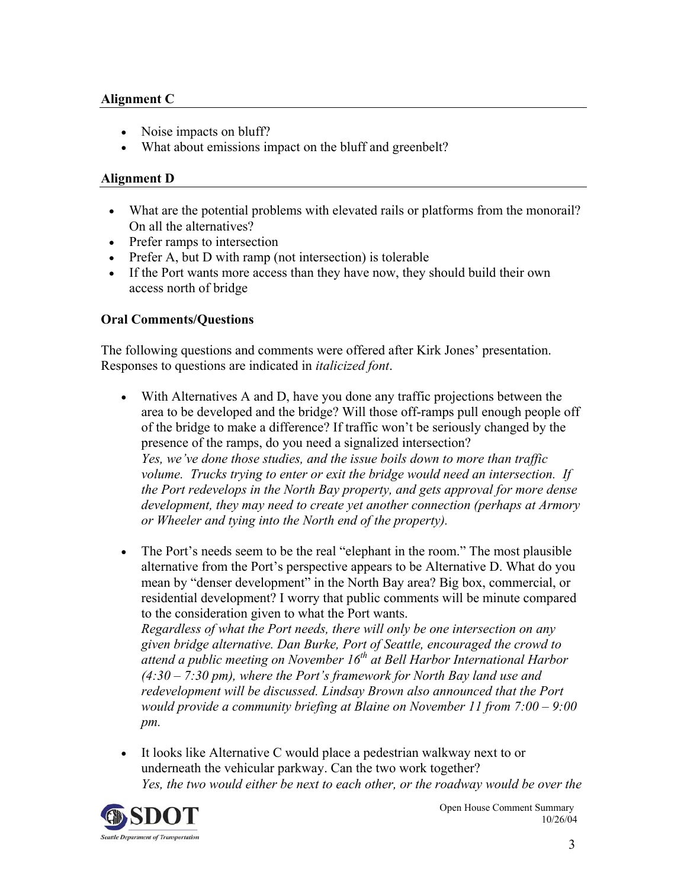## **Alignment C**

- Noise impacts on bluff?
- What about emissions impact on the bluff and greenbelt?

#### **Alignment D**

- What are the potential problems with elevated rails or platforms from the monorail? On all the alternatives?
- Prefer ramps to intersection
- Prefer A, but D with ramp (not intersection) is tolerable
- If the Port wants more access than they have now, they should build their own access north of bridge

#### **Oral Comments/Questions**

The following questions and comments were offered after Kirk Jones' presentation. Responses to questions are indicated in *italicized font*.

- With Alternatives A and D, have you done any traffic projections between the area to be developed and the bridge? Will those off-ramps pull enough people off of the bridge to make a difference? If traffic won't be seriously changed by the presence of the ramps, do you need a signalized intersection? *Yes, we've done those studies, and the issue boils down to more than traffic volume. Trucks trying to enter or exit the bridge would need an intersection. If the Port redevelops in the North Bay property, and gets approval for more dense development, they may need to create yet another connection (perhaps at Armory or Wheeler and tying into the North end of the property).*
- The Port's needs seem to be the real "elephant in the room." The most plausible alternative from the Port's perspective appears to be Alternative D. What do you mean by "denser development" in the North Bay area? Big box, commercial, or residential development? I worry that public comments will be minute compared to the consideration given to what the Port wants.

*Regardless of what the Port needs, there will only be one intersection on any given bridge alternative. Dan Burke, Port of Seattle, encouraged the crowd to attend a public meeting on November 16th at Bell Harbor International Harbor (4:30 – 7:30 pm), where the Port's framework for North Bay land use and redevelopment will be discussed. Lindsay Brown also announced that the Port would provide a community briefing at Blaine on November 11 from 7:00 – 9:00 pm.*

• It looks like Alternative C would place a pedestrian walkway next to or underneath the vehicular parkway. Can the two work together? *Yes, the two would either be next to each other, or the roadway would be over the* 

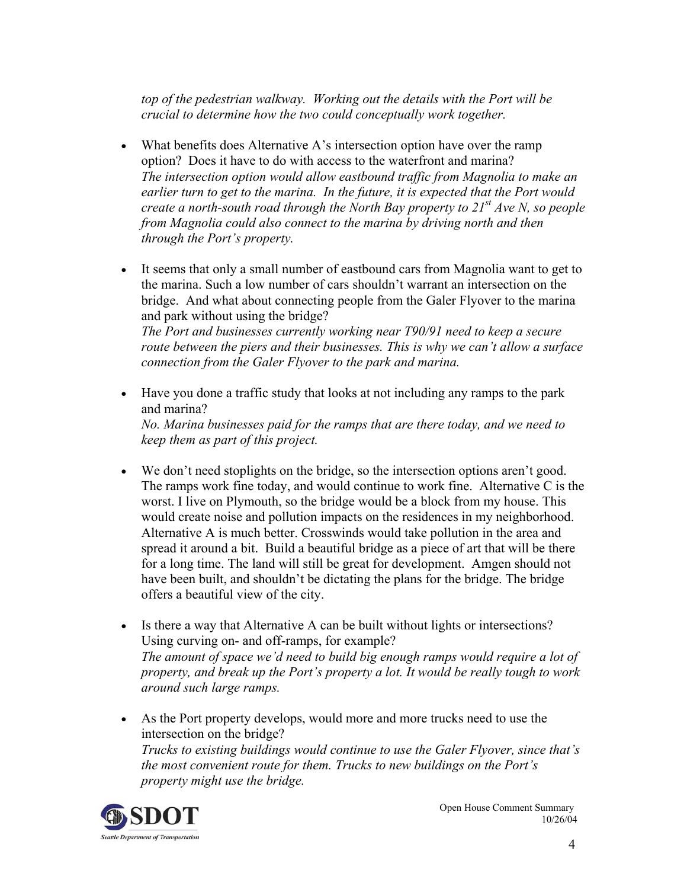*top of the pedestrian walkway. Working out the details with the Port will be crucial to determine how the two could conceptually work together.*

- What benefits does Alternative A's intersection option have over the ramp option? Does it have to do with access to the waterfront and marina? *The intersection option would allow eastbound traffic from Magnolia to make an earlier turn to get to the marina. In the future, it is expected that the Port would create a north-south road through the North Bay property to 21st Ave N, so people from Magnolia could also connect to the marina by driving north and then through the Port's property.*
- It seems that only a small number of eastbound cars from Magnolia want to get to the marina. Such a low number of cars shouldn't warrant an intersection on the bridge. And what about connecting people from the Galer Flyover to the marina and park without using the bridge? *The Port and businesses currently working near T90/91 need to keep a secure*

*route between the piers and their businesses. This is why we can't allow a surface connection from the Galer Flyover to the park and marina.*

• Have you done a traffic study that looks at not including any ramps to the park and marina? *No. Marina businesses paid for the ramps that are there today, and we need to* 

*keep them as part of this project.*

- We don't need stoplights on the bridge, so the intersection options aren't good. The ramps work fine today, and would continue to work fine. Alternative C is the worst. I live on Plymouth, so the bridge would be a block from my house. This would create noise and pollution impacts on the residences in my neighborhood. Alternative A is much better. Crosswinds would take pollution in the area and spread it around a bit. Build a beautiful bridge as a piece of art that will be there for a long time. The land will still be great for development. Amgen should not have been built, and shouldn't be dictating the plans for the bridge. The bridge offers a beautiful view of the city.
- Is there a way that Alternative A can be built without lights or intersections? Using curving on- and off-ramps, for example? *The amount of space we'd need to build big enough ramps would require a lot of property, and break up the Port's property a lot. It would be really tough to work around such large ramps.*
- As the Port property develops, would more and more trucks need to use the intersection on the bridge? *Trucks to existing buildings would continue to use the Galer Flyover, since that's the most convenient route for them. Trucks to new buildings on the Port's property might use the bridge.*

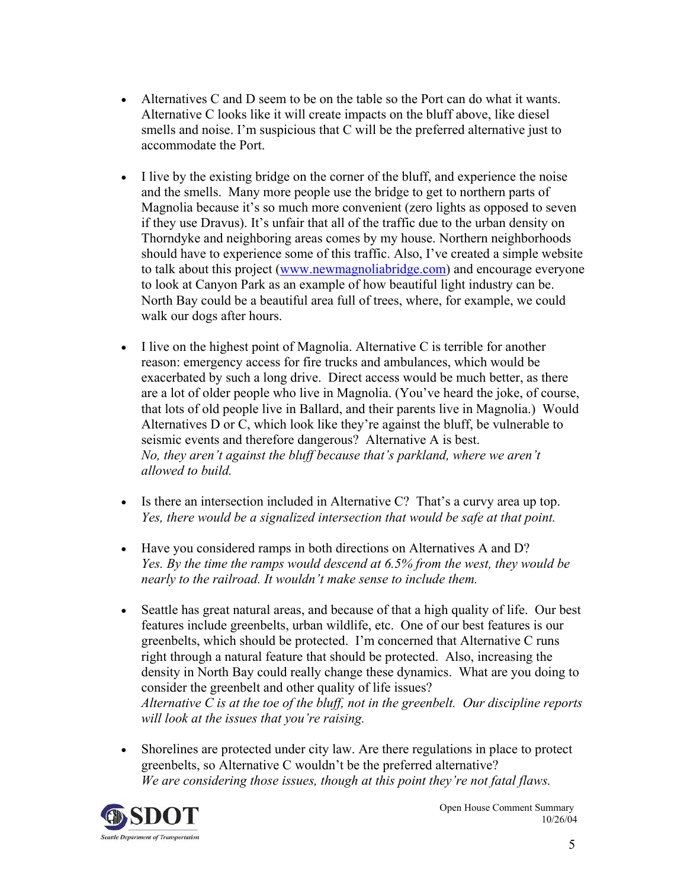- Alternatives C and D seem to be on the table so the Port can do what it wants. Alternative C looks like it will create impacts on the bluff above, like diesel smells and noise. I'm suspicious that C will be the preferred alternative just to accommodate the Port.
- I live by the existing bridge on the corner of the bluff, and experience the noise and the smells. Many more people use the bridge to get to northern parts of Magnolia because it's so much more convenient (zero lights as opposed to seven if they use Dravus). It's unfair that all of the traffic due to the urban density on Thorndyke and neighboring areas comes by my house. Northern neighborhoods should have to experience some of this traffic. Also, I've created a simple website to talk about this project (www.newmagnoliabridge.com) and encourage everyone to look at Canyon Park as an example of how beautiful light industry can be. North Bay could be a beautiful area full of trees, where, for example, we could walk our dogs after hours.
- I live on the highest point of Magnolia. Alternative C is terrible for another reason: emergency access for fire trucks and ambulances, which would be exacerbated by such a long drive. Direct access would be much better, as there are a lot of older people who live in Magnolia. (You've heard the joke, of course, that lots of old people live in Ballard, and their parents live in Magnolia.) Would Alternatives D or C, which look like they're against the bluff, be vulnerable to seismic events and therefore dangerous? Alternative A is best. *No, they aren't against the bluff because that's parkland, where we aren't allowed to build.*
- Is there an intersection included in Alternative C? That's a curvy area up top. *Yes, there would be a signalized intersection that would be safe at that point.*
- Have you considered ramps in both directions on Alternatives A and D? *Yes. By the time the ramps would descend at 6.5% from the west, they would be nearly to the railroad. It wouldn't make sense to include them.*
- Seattle has great natural areas, and because of that a high quality of life. Our best features include greenbelts, urban wildlife, etc. One of our best features is our greenbelts, which should be protected. I'm concerned that Alternative C runs right through a natural feature that should be protected. Also, increasing the density in North Bay could really change these dynamics. What are you doing to consider the greenbelt and other quality of life issues? *Alternative C is at the toe of the bluff, not in the greenbelt. Our discipline reports will look at the issues that you're raising.*
- Shorelines are protected under city law. Are there regulations in place to protect greenbelts, so Alternative C wouldn't be the preferred alternative? *We are considering those issues, though at this point they're not fatal flaws.*

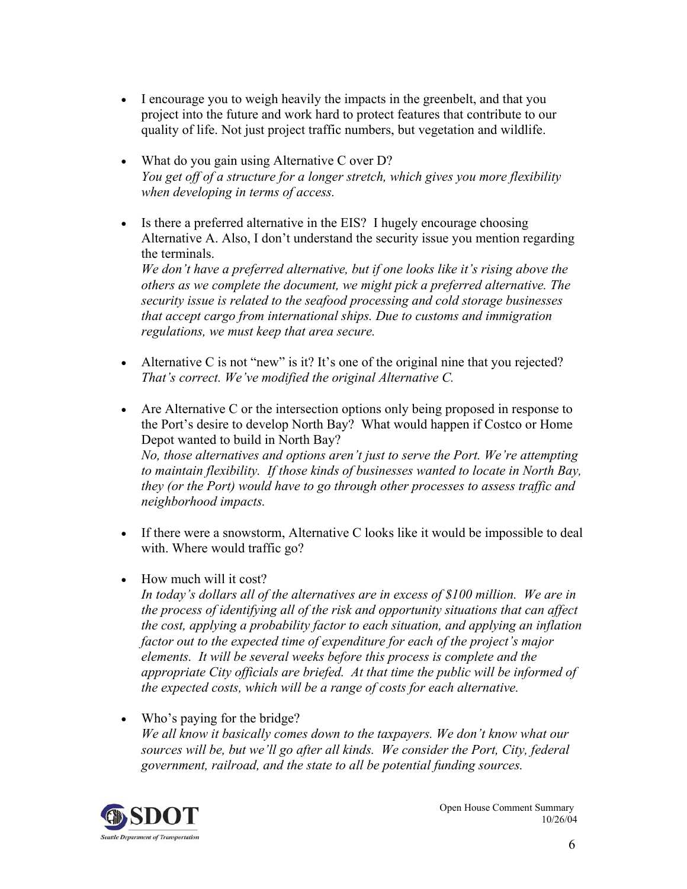- I encourage you to weigh heavily the impacts in the greenbelt, and that you project into the future and work hard to protect features that contribute to our quality of life. Not just project traffic numbers, but vegetation and wildlife.
- What do you gain using Alternative C over D? *You get off of a structure for a longer stretch, which gives you more flexibility when developing in terms of access.*
- Is there a preferred alternative in the EIS? I hugely encourage choosing Alternative A. Also, I don't understand the security issue you mention regarding the terminals. *We don't have a preferred alternative, but if one looks like it's rising above the others as we complete the document, we might pick a preferred alternative. The security issue is related to the seafood processing and cold storage businesses that accept cargo from international ships. Due to customs and immigration regulations, we must keep that area secure.*
- Alternative C is not "new" is it? It's one of the original nine that you rejected? *That's correct. We've modified the original Alternative C.*
- Are Alternative C or the intersection options only being proposed in response to the Port's desire to develop North Bay? What would happen if Costco or Home Depot wanted to build in North Bay? *No, those alternatives and options aren't just to serve the Port. We're attempting to maintain flexibility. If those kinds of businesses wanted to locate in North Bay, they (or the Port) would have to go through other processes to assess traffic and neighborhood impacts.*
- If there were a snowstorm, Alternative C looks like it would be impossible to deal with. Where would traffic go?
- How much will it cost?

*In today's dollars all of the alternatives are in excess of \$100 million. We are in the process of identifying all of the risk and opportunity situations that can affect the cost, applying a probability factor to each situation, and applying an inflation factor out to the expected time of expenditure for each of the project's major elements. It will be several weeks before this process is complete and the appropriate City officials are briefed. At that time the public will be informed of the expected costs, which will be a range of costs for each alternative.* 

• Who's paying for the bridge? *We all know it basically comes down to the taxpayers. We don't know what our sources will be, but we'll go after all kinds. We consider the Port, City, federal government, railroad, and the state to all be potential funding sources.*

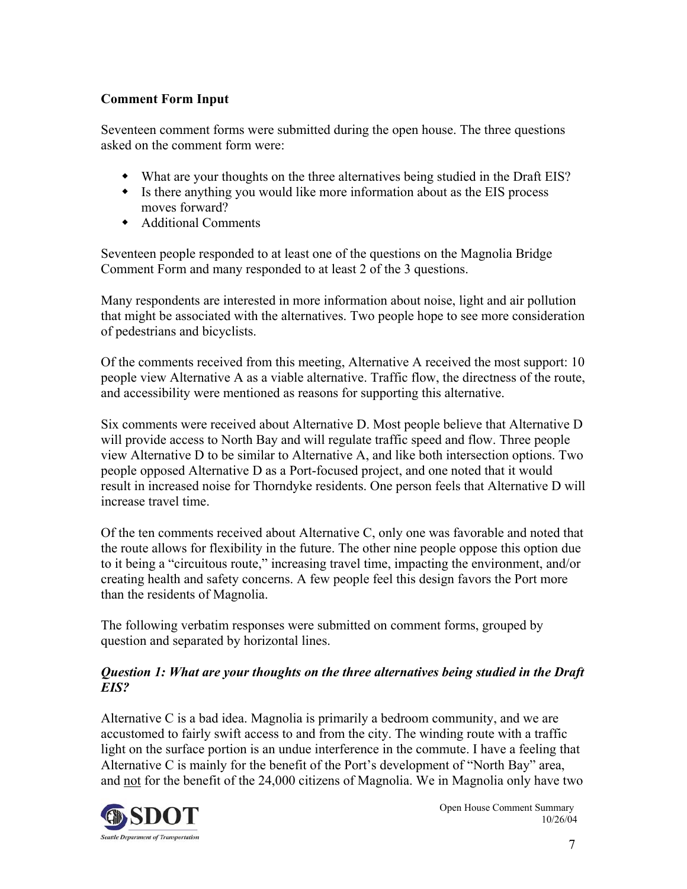# **Comment Form Input**

Seventeen comment forms were submitted during the open house. The three questions asked on the comment form were:

- What are your thoughts on the three alternatives being studied in the Draft EIS?
- Is there anything you would like more information about as the EIS process moves forward?
- Additional Comments

Seventeen people responded to at least one of the questions on the Magnolia Bridge Comment Form and many responded to at least 2 of the 3 questions.

Many respondents are interested in more information about noise, light and air pollution that might be associated with the alternatives. Two people hope to see more consideration of pedestrians and bicyclists.

Of the comments received from this meeting, Alternative A received the most support: 10 people view Alternative A as a viable alternative. Traffic flow, the directness of the route, and accessibility were mentioned as reasons for supporting this alternative.

Six comments were received about Alternative D. Most people believe that Alternative D will provide access to North Bay and will regulate traffic speed and flow. Three people view Alternative D to be similar to Alternative A, and like both intersection options. Two people opposed Alternative D as a Port-focused project, and one noted that it would result in increased noise for Thorndyke residents. One person feels that Alternative D will increase travel time.

Of the ten comments received about Alternative C, only one was favorable and noted that the route allows for flexibility in the future. The other nine people oppose this option due to it being a "circuitous route," increasing travel time, impacting the environment, and/or creating health and safety concerns. A few people feel this design favors the Port more than the residents of Magnolia.

The following verbatim responses were submitted on comment forms, grouped by question and separated by horizontal lines.

## *Question 1: What are your thoughts on the three alternatives being studied in the Draft EIS?*

Alternative C is a bad idea. Magnolia is primarily a bedroom community, and we are accustomed to fairly swift access to and from the city. The winding route with a traffic light on the surface portion is an undue interference in the commute. I have a feeling that Alternative C is mainly for the benefit of the Port's development of "North Bay" area, and not for the benefit of the 24,000 citizens of Magnolia. We in Magnolia only have two

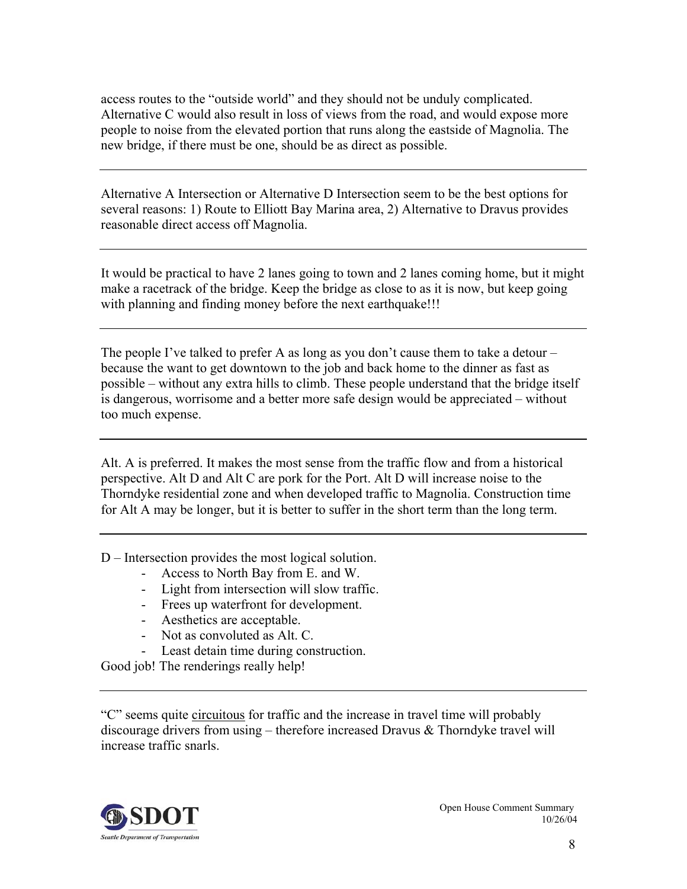access routes to the "outside world" and they should not be unduly complicated. Alternative C would also result in loss of views from the road, and would expose more people to noise from the elevated portion that runs along the eastside of Magnolia. The new bridge, if there must be one, should be as direct as possible.

Alternative A Intersection or Alternative D Intersection seem to be the best options for several reasons: 1) Route to Elliott Bay Marina area, 2) Alternative to Dravus provides reasonable direct access off Magnolia.

It would be practical to have 2 lanes going to town and 2 lanes coming home, but it might make a racetrack of the bridge. Keep the bridge as close to as it is now, but keep going with planning and finding money before the next earthquake!!!

The people I've talked to prefer A as long as you don't cause them to take a detour  $$ because the want to get downtown to the job and back home to the dinner as fast as possible – without any extra hills to climb. These people understand that the bridge itself is dangerous, worrisome and a better more safe design would be appreciated – without too much expense.

Alt. A is preferred. It makes the most sense from the traffic flow and from a historical perspective. Alt D and Alt C are pork for the Port. Alt D will increase noise to the Thorndyke residential zone and when developed traffic to Magnolia. Construction time for Alt A may be longer, but it is better to suffer in the short term than the long term.

D – Intersection provides the most logical solution.

- Access to North Bay from E. and W.
- Light from intersection will slow traffic.
- Frees up waterfront for development.
- Aesthetics are acceptable.
- Not as convoluted as Alt. C.
- Least detain time during construction.

Good job! The renderings really help!

"C" seems quite circuitous for traffic and the increase in travel time will probably discourage drivers from using – therefore increased Dravus  $\&$  Thorndyke travel will increase traffic snarls.

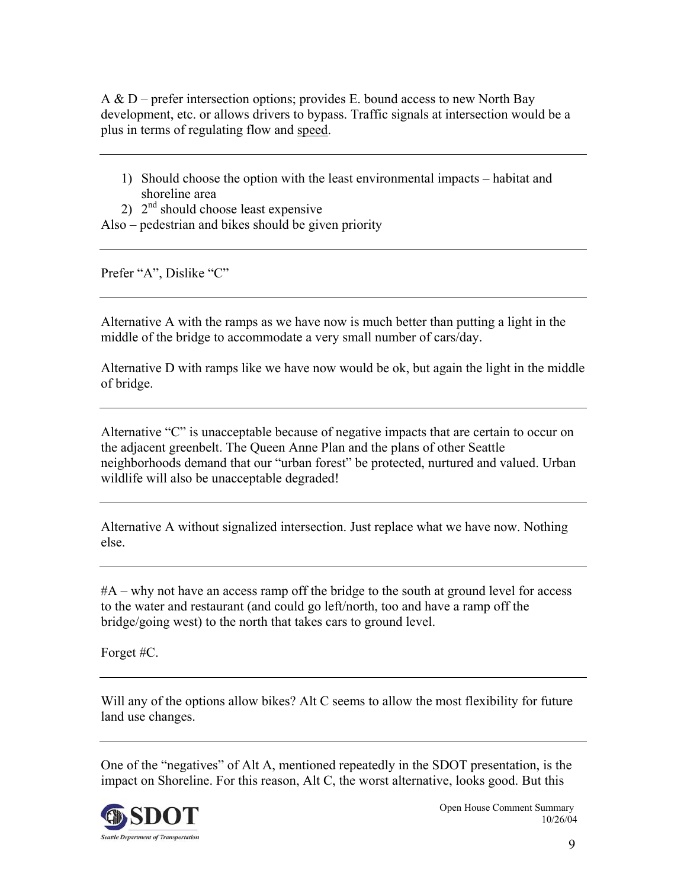A & D – prefer intersection options; provides E. bound access to new North Bay development, etc. or allows drivers to bypass. Traffic signals at intersection would be a plus in terms of regulating flow and speed.

- 1) Should choose the option with the least environmental impacts habitat and shoreline area
- 2)  $2<sup>nd</sup>$  should choose least expensive
- Also pedestrian and bikes should be given priority

Prefer "A", Dislike "C"

Alternative A with the ramps as we have now is much better than putting a light in the middle of the bridge to accommodate a very small number of cars/day.

Alternative D with ramps like we have now would be ok, but again the light in the middle of bridge.

Alternative "C" is unacceptable because of negative impacts that are certain to occur on the adjacent greenbelt. The Queen Anne Plan and the plans of other Seattle neighborhoods demand that our "urban forest" be protected, nurtured and valued. Urban wildlife will also be unacceptable degraded!

Alternative A without signalized intersection. Just replace what we have now. Nothing else.

#A – why not have an access ramp off the bridge to the south at ground level for access to the water and restaurant (and could go left/north, too and have a ramp off the bridge/going west) to the north that takes cars to ground level.

Forget #C.

Will any of the options allow bikes? Alt C seems to allow the most flexibility for future land use changes.

One of the "negatives" of Alt A, mentioned repeatedly in the SDOT presentation, is the impact on Shoreline. For this reason, Alt C, the worst alternative, looks good. But this

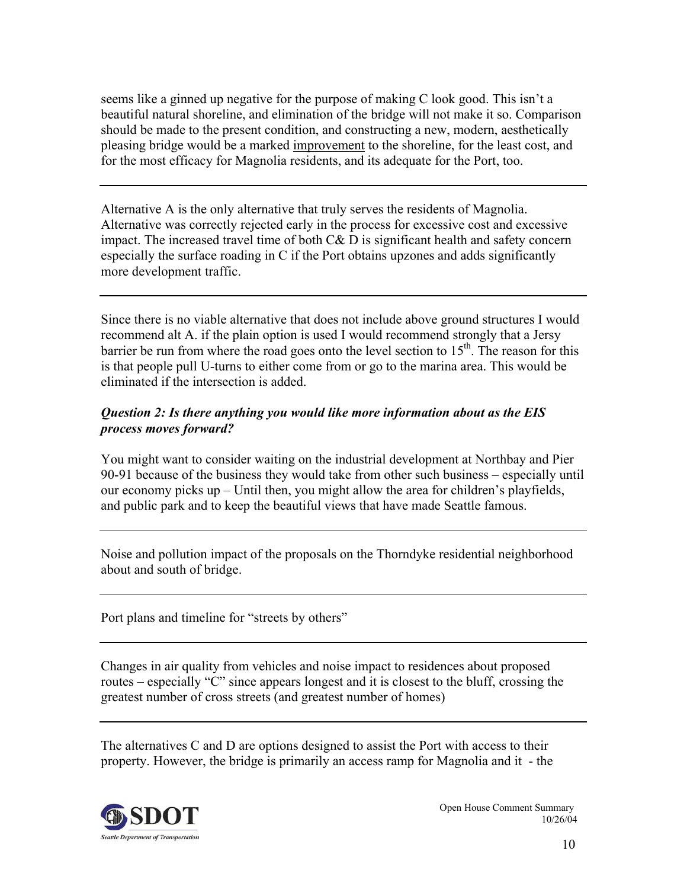seems like a ginned up negative for the purpose of making C look good. This isn't a beautiful natural shoreline, and elimination of the bridge will not make it so. Comparison should be made to the present condition, and constructing a new, modern, aesthetically pleasing bridge would be a marked improvement to the shoreline, for the least cost, and for the most efficacy for Magnolia residents, and its adequate for the Port, too.

Alternative A is the only alternative that truly serves the residents of Magnolia. Alternative was correctly rejected early in the process for excessive cost and excessive impact. The increased travel time of both C& D is significant health and safety concern especially the surface roading in C if the Port obtains upzones and adds significantly more development traffic.

Since there is no viable alternative that does not include above ground structures I would recommend alt A. if the plain option is used I would recommend strongly that a Jersy barrier be run from where the road goes onto the level section to  $15<sup>th</sup>$ . The reason for this is that people pull U-turns to either come from or go to the marina area. This would be eliminated if the intersection is added.

## *Question 2: Is there anything you would like more information about as the EIS process moves forward?*

You might want to consider waiting on the industrial development at Northbay and Pier 90-91 because of the business they would take from other such business – especially until our economy picks up – Until then, you might allow the area for children's playfields, and public park and to keep the beautiful views that have made Seattle famous.

Noise and pollution impact of the proposals on the Thorndyke residential neighborhood about and south of bridge.

Port plans and timeline for "streets by others"

Changes in air quality from vehicles and noise impact to residences about proposed routes – especially "C" since appears longest and it is closest to the bluff, crossing the greatest number of cross streets (and greatest number of homes)

The alternatives C and D are options designed to assist the Port with access to their property. However, the bridge is primarily an access ramp for Magnolia and it - the